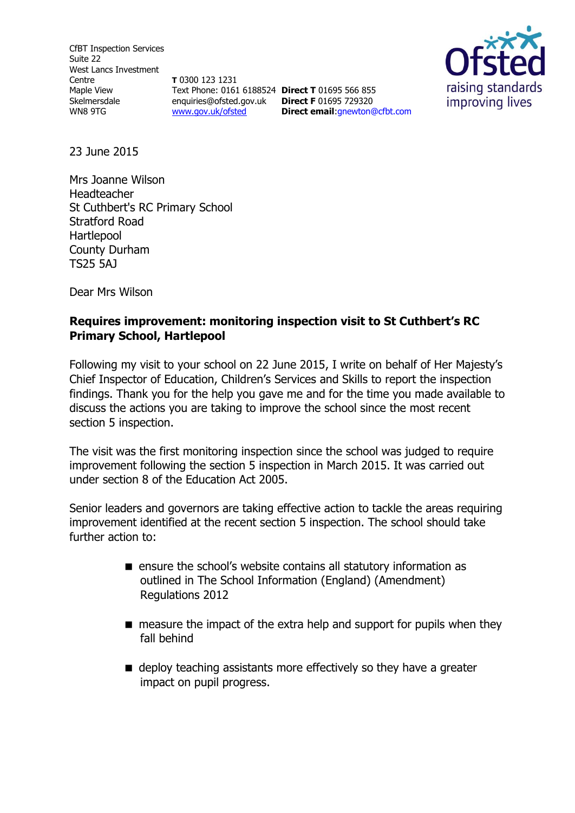CfBT Inspection Services Suite 22 West Lancs Investment Centre Maple View Skelmersdale WN8 9TG

**T** 0300 123 1231 Text Phone: 0161 6188524 **Direct T** 01695 566 855 enquiries@ofsted.gov.uk **Direct F** 01695 729320 [www.gov.uk/ofsted](http://www.gov.uk/ofsted)

**Direct email**:gnewton@cfbt.com



23 June 2015

Mrs Joanne Wilson Headteacher St Cuthbert's RC Primary School Stratford Road Hartlepool County Durham TS25 5AJ

Dear Mrs Wilson

# **Requires improvement: monitoring inspection visit to St Cuthbert's RC Primary School, Hartlepool**

Following my visit to your school on 22 June 2015, I write on behalf of Her Majesty's Chief Inspector of Education, Children's Services and Skills to report the inspection findings. Thank you for the help you gave me and for the time you made available to discuss the actions you are taking to improve the school since the most recent section 5 inspection.

The visit was the first monitoring inspection since the school was judged to require improvement following the section 5 inspection in March 2015. It was carried out under section 8 of the Education Act 2005.

Senior leaders and governors are taking effective action to tackle the areas requiring improvement identified at the recent section 5 inspection. The school should take further action to:

- ensure the school's website contains all statutory information as outlined in The School Information (England) (Amendment) Regulations 2012
- $\blacksquare$  measure the impact of the extra help and support for pupils when they fall behind
- $\blacksquare$  deploy teaching assistants more effectively so they have a greater impact on pupil progress.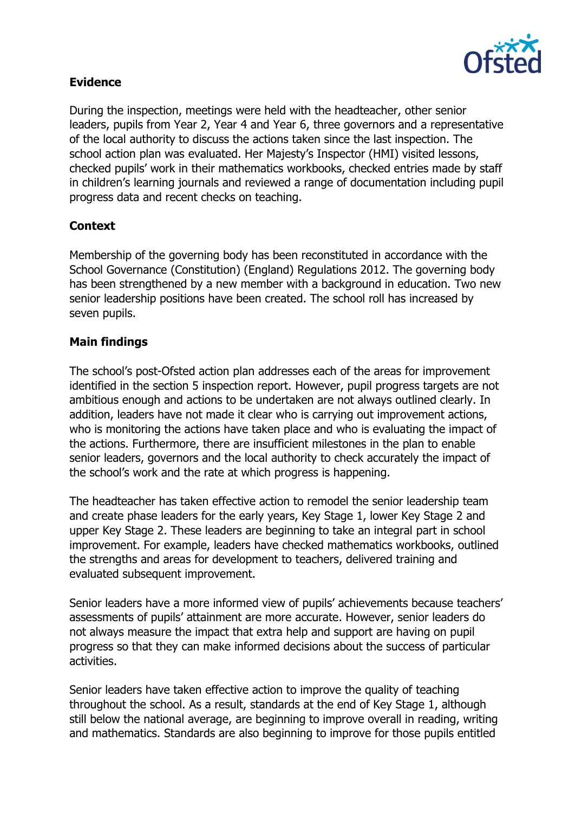

## **Evidence**

During the inspection, meetings were held with the headteacher, other senior leaders, pupils from Year 2, Year 4 and Year 6, three governors and a representative of the local authority to discuss the actions taken since the last inspection. The school action plan was evaluated. Her Majesty's Inspector (HMI) visited lessons, checked pupils' work in their mathematics workbooks, checked entries made by staff in children's learning journals and reviewed a range of documentation including pupil progress data and recent checks on teaching.

## **Context**

Membership of the governing body has been reconstituted in accordance with the School Governance (Constitution) (England) Regulations 2012. The governing body has been strengthened by a new member with a background in education. Two new senior leadership positions have been created. The school roll has increased by seven pupils.

#### **Main findings**

The school's post-Ofsted action plan addresses each of the areas for improvement identified in the section 5 inspection report. However, pupil progress targets are not ambitious enough and actions to be undertaken are not always outlined clearly. In addition, leaders have not made it clear who is carrying out improvement actions, who is monitoring the actions have taken place and who is evaluating the impact of the actions. Furthermore, there are insufficient milestones in the plan to enable senior leaders, governors and the local authority to check accurately the impact of the school's work and the rate at which progress is happening.

The headteacher has taken effective action to remodel the senior leadership team and create phase leaders for the early years, Key Stage 1, lower Key Stage 2 and upper Key Stage 2. These leaders are beginning to take an integral part in school improvement. For example, leaders have checked mathematics workbooks, outlined the strengths and areas for development to teachers, delivered training and evaluated subsequent improvement.

Senior leaders have a more informed view of pupils' achievements because teachers' assessments of pupils' attainment are more accurate. However, senior leaders do not always measure the impact that extra help and support are having on pupil progress so that they can make informed decisions about the success of particular activities.

Senior leaders have taken effective action to improve the quality of teaching throughout the school. As a result, standards at the end of Key Stage 1, although still below the national average, are beginning to improve overall in reading, writing and mathematics. Standards are also beginning to improve for those pupils entitled